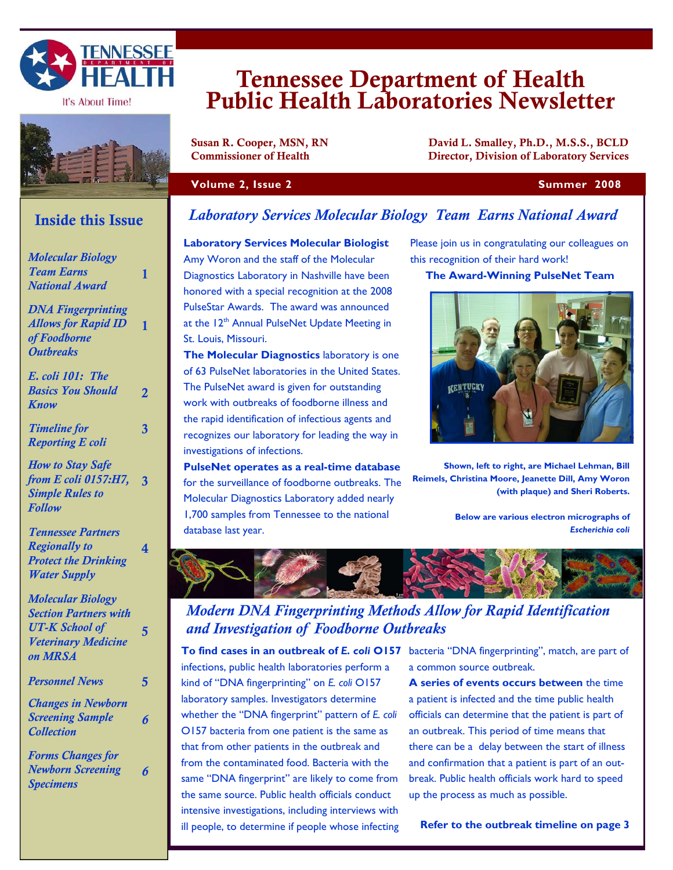

It's About Time!



# **Inside this Issue**

| <b>Molecular Biology</b>                        |                         | I  |
|-------------------------------------------------|-------------------------|----|
| <b>Team Earns</b>                               | 1                       | I  |
| <b>National Award</b>                           |                         | ŀ  |
| <b>DNA Fingerprinting</b>                       |                         | F  |
| <b>Allows for Rapid ID</b>                      | 1                       | ā  |
| of Foodborne                                    |                         |    |
| <b>Outbreaks</b>                                |                         |    |
|                                                 |                         | ¢  |
| <b>E.</b> coli 101: The                         |                         |    |
| <b>Basics You Should</b>                        | $\overline{2}$          |    |
| Know                                            |                         |    |
| <b>Timeline for</b>                             | 3                       | t  |
| <b>Reporting E coli</b>                         |                         | ľ  |
|                                                 |                         | i  |
| <b>How to Stay Safe</b><br>from E coli 0157:H7, |                         |    |
| <b>Simple Rules to</b>                          | $\overline{\mathbf{3}}$ | f  |
| <b>Follow</b>                                   |                         | ľ  |
|                                                 |                         |    |
| <b>Tennessee Partners</b>                       |                         |    |
| <b>Regionally to</b>                            | 4                       |    |
| <b>Protect the Drinking</b>                     |                         |    |
| <b>Water Supply</b>                             |                         |    |
| <b>Molecular Biology</b>                        |                         |    |
| <b>Section Partners with</b>                    |                         |    |
| <b>UT-K School of</b>                           | 5                       |    |
| <b>Veterinary Medicine</b>                      |                         |    |
| on MRSA                                         |                         | ٦  |
|                                                 |                         | ir |
| <b>Personnel News</b>                           | 5                       | k  |
| <b>Changes in Newborn</b>                       |                         | Ia |
| <b>Screening Sample</b>                         | 6                       |    |
| <b>Collection</b>                               |                         | Ć  |
|                                                 |                         | tl |
| <b>Forms Changes for</b>                        |                         | fr |
| <b>Newborn Screening</b><br><b>Specimens</b>    | 6                       | S  |
|                                                 |                         | ٠l |

# Tennessee Department of Health Public Health Laboratories Newsletter

Susan R. Cooper, MSN, RN David L. Smalley, Ph.D., M.S.S., BCLD Commissioner of Health Director, Division of Laboratory Services

#### **Volume 2, Issue 2 Summer 2008**

#### **Laboratory Services Molecular Biology Team Earns National Award**

**Laboratory Services Molecular Biologist**  Amy Woron and the staff of the Molecular Diagnostics Laboratory in Nashville have been honored with a special recognition at the 2008 PulseStar Awards. The award was announced at the 12<sup>th</sup> Annual PulseNet Update Meeting in St. Louis, Missouri.

**The Molecular Diagnostics** laboratory is one of 63 PulseNet laboratories in the United States. The PulseNet award is given for outstanding work with outbreaks of foodborne illness and the rapid identification of infectious agents and recognizes our laboratory for leading the way in nvestigations of infections.

**PulseNet operates as a real-time database**  for the surveillance of foodborne outbreaks. The Molecular Diagnostics Laboratory added nearly 1,700 samples from Tennessee to the national database last year.

Please join us in congratulating our colleagues on this recognition of their hard work!

#### **The Award-Winning PulseNet Team**



**Shown, left to right, are Michael Lehman, Bill Reimels, Christina Moore, Jeanette Dill, Amy Woron (with plaque) and Sheri Roberts.** 

> **Below are various electron micrographs of**  *Escherichia coli*



## *Modern DNA Fingerprinting Methods Allow for Rapid Identification and Investigation of Foodborne Outbreaks*

**To find cases in an outbreak of** *E. coli* **O157**  bacteria "DNA fingerprinting", match, are part of nfections, public health laboratories perform a kind of "DNA fingerprinting" on *E. coli* O157 laboratory samples. Investigators determine whether the "DNA fingerprint" pattern of *E. coli*  O157 bacteria from one patient is the same as hat from other patients in the outbreak and rom the contaminated food. Bacteria with the ame "DNA fingerprint" are likely to come from the same source. Public health officials conduct intensive investigations, including interviews with ill people, to determine if people whose infecting

a common source outbreak.

**A series of events occurs between** the time a patient is infected and the time public health officials can determine that the patient is part of an outbreak. This period of time means that there can be a delay between the start of illness and confirmation that a patient is part of an outbreak. Public health officials work hard to speed up the process as much as possible.

**Refer to the outbreak timeline on page 3**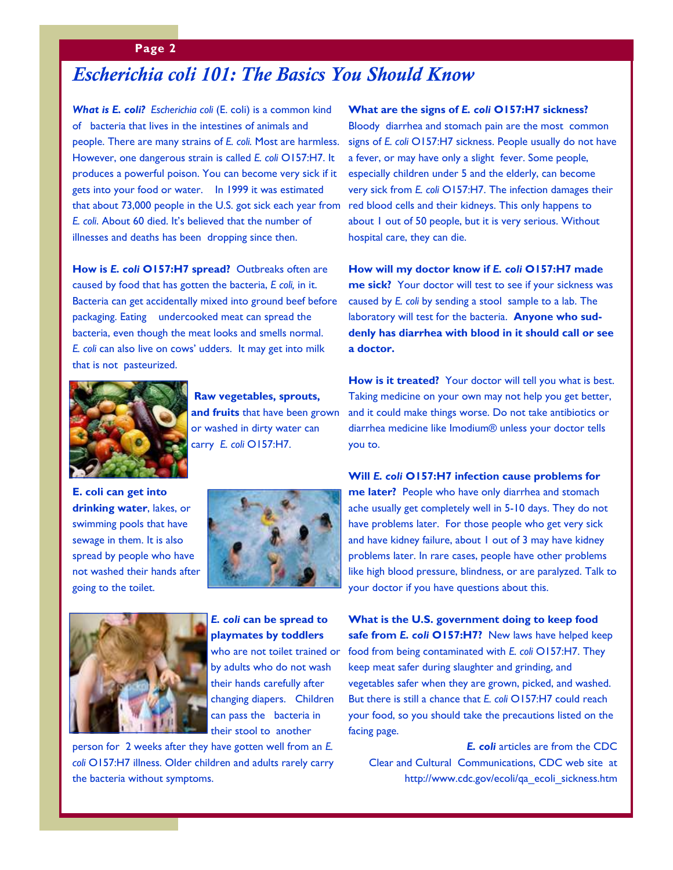#### **Page 2**

# *Escherichia coli 101: The Basics You Should Know*

*What is E. coli? Escherichia coli* (E. coli) is a common kind of bacteria that lives in the intestines of animals and people. There are many strains of *E. coli.* Most are harmless. However, one dangerous strain is called *E. coli* O157:H7. It produces a powerful poison. You can become very sick if it gets into your food or water. In 1999 it was estimated that about 73,000 people in the U.S. got sick each year from *E. coli*. About 60 died. It's believed that the number of illnesses and deaths has been dropping since then.

**How is** *E. coli* **O157:H7 spread?** Outbreaks often are caused by food that has gotten the bacteria, *E coli,* in it. Bacteria can get accidentally mixed into ground beef before packaging. Eating undercooked meat can spread the bacteria, even though the meat looks and smells normal. *E. coli* can also live on cows' udders. It may get into milk that is not pasteurized.



**Raw vegetables, sprouts, and fruits** that have been grown or washed in dirty water can carry *E. coli* O157:H7.

**E. coli can get into drinking water**, lakes, or swimming pools that have sewage in them. It is also spread by people who have not washed their hands after going to the toilet.





*E. coli* **can be spread to playmates by toddlers**  who are not toilet trained or by adults who do not wash their hands carefully after changing diapers. Children can pass the bacteria in their stool to another

person for 2 weeks after they have gotten well from an *E. coli* O157:H7 illness. Older children and adults rarely carry the bacteria without symptoms.

**What are the signs of** *E. coli* **O157:H7 sickness?**  Bloody diarrhea and stomach pain are the most common signs of *E. coli* O157:H7 sickness. People usually do not have a fever, or may have only a slight fever. Some people, especially children under 5 and the elderly, can become very sick from *E. coli* O157:H7. The infection damages their red blood cells and their kidneys. This only happens to about 1 out of 50 people, but it is very serious. Without hospital care, they can die.

**How will my doctor know if** *E. coli* **O157:H7 made me sick?** Your doctor will test to see if your sickness was caused by *E. coli* by sending a stool sample to a lab. The laboratory will test for the bacteria. **Anyone who suddenly has diarrhea with blood in it should call or see a doctor.** 

**How is it treated?** Your doctor will tell you what is best. Taking medicine on your own may not help you get better, and it could make things worse. Do not take antibiotics or diarrhea medicine like Imodium® unless your doctor tells you to.

**Will** *E. coli* **O157:H7 infection cause problems for me later?** People who have only diarrhea and stomach ache usually get completely well in 5-10 days. They do not have problems later. For those people who get very sick and have kidney failure, about 1 out of 3 may have kidney problems later. In rare cases, people have other problems like high blood pressure, blindness, or are paralyzed. Talk to your doctor if you have questions about this.

**What is the U.S. government doing to keep food safe from** *E. coli* **O157:H7?** New laws have helped keep food from being contaminated with *E. coli* O157:H7. They keep meat safer during slaughter and grinding, and vegetables safer when they are grown, picked, and washed. But there is still a chance that *E. coli* O157:H7 could reach your food, so you should take the precautions listed on the facing page.

*E. coli* articles are from the CDC Clear and Cultural Communications, CDC web site at http://www.cdc.gov/ecoli/qa\_ecoli\_sickness.htm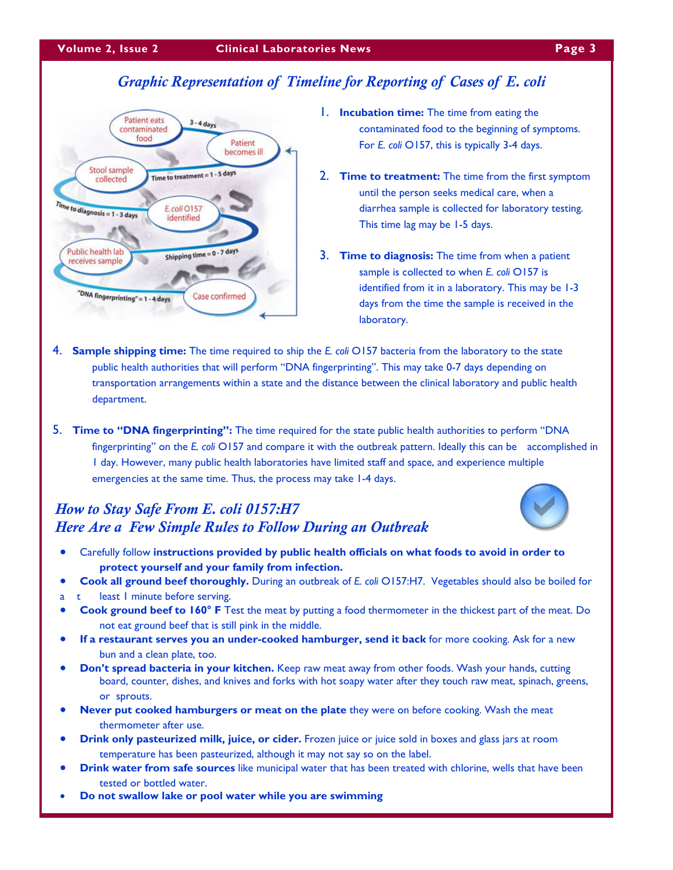# *Graphic Representation of Timeline for Reporting of Cases of E. coli*



- 1. **Incubation time:** The time from eating the contaminated food to the beginning of symptoms. For *E. coli* O157, this is typically 3-4 days.
- 2. **Time to treatment:** The time from the first symptom until the person seeks medical care, when a diarrhea sample is collected for laboratory testing. This time lag may be 1-5 days.
- 3. **Time to diagnosis:** The time from when a patient sample is collected to when *E. coli* O157 is identified from it in a laboratory. This may be 1-3 days from the time the sample is received in the laboratory.
- 4. **Sample shipping time:** The time required to ship the *E. coli* O157 bacteria from the laboratory to the state public health authorities that will perform "DNA fingerprinting". This may take 0-7 days depending on transportation arrangements within a state and the distance between the clinical laboratory and public health department.
- 5. **Time to "DNA fingerprinting":** The time required for the state public health authorities to perform "DNA fingerprinting" on the *E. coli* O157 and compare it with the outbreak pattern. Ideally this can be accomplished in 1 day. However, many public health laboratories have limited staff and space, and experience multiple emergen cies at the same time. Thus, the process may take 1-4 days.

## *How to Stay Safe From E. coli 0157:H7 Here Are a Few Simple Rules to Follow During an Outbreak*



- Carefully follow **instructions provided by public health officials on what foods to avoid in order to protect yourself and your family from infection.**
- **Cook all ground beef thoroughly.** During an outbreak of *E. coli* O157:H7. Vegetables should also be boiled for
- a t least I minute before serving.
- **Cook ground beef to 160° F** Test the meat by putting a food thermometer in the thickest part of the meat. Do not eat ground beef that is still pink in the middle.
- **If a restaurant serves you an under-cooked hamburger, send it back** for more cooking. Ask for a new bun and a clean plate, too.
- **Don't spread bacteria in your kitchen.** Keep raw meat away from other foods. Wash your hands, cutting board, counter, dishes, and knives and forks with hot soapy water after they touch raw meat, spinach, greens, or sprouts.
- **Never put cooked hamburgers or meat on the plate** they were on before cooking. Wash the meat thermometer after use.
- **Drink only pasteurized milk, juice, or cider.** Frozen juice or juice sold in boxes and glass jars at room temperature has been pasteurized, although it may not say so on the label.
- **Drink water from safe sources** like municipal water that has been treated with chlorine, wells that have been tested or bottled water.
- **Do not swallow lake or pool water while you are swimming**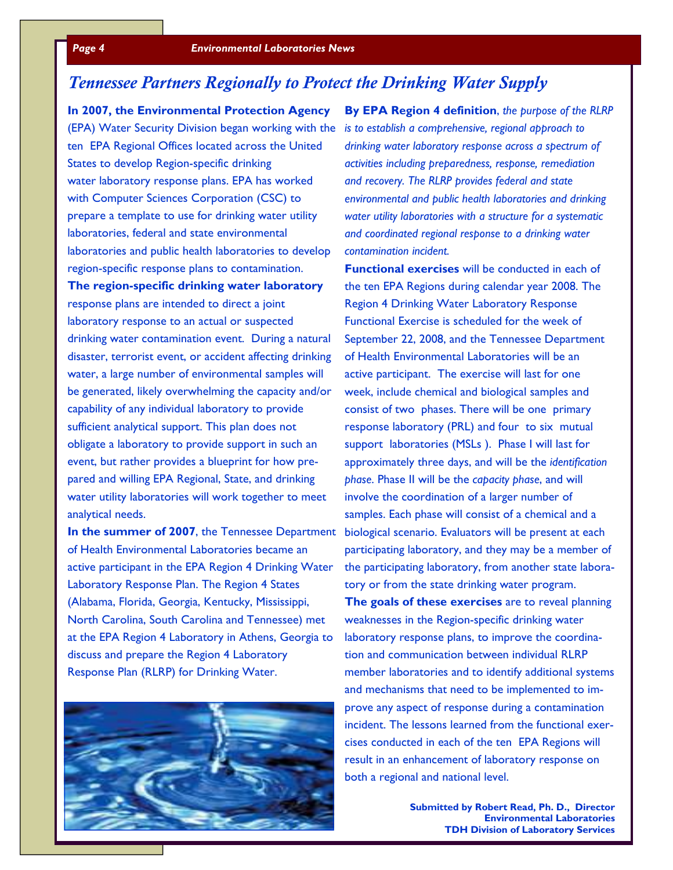# *Tennessee Partners Regionally to Protect the Drinking Water Supply*

**In 2007, the Environmental Protection Agency**  (EPA) Water Security Division began working with the *is to establish a comprehensive, regional approach to*  ten EPA Regional Offices located across the United States to develop Region-specific drinking water laboratory response plans. EPA has worked with Computer Sciences Corporation (CSC) to prepare a template to use for drinking water utility laboratories, federal and state environmental laboratories and public health laboratories to develop region-specific response plans to contamination.

**The region-specific drinking water laboratory**  response plans are intended to direct a joint laboratory response to an actual or suspected drinking water contamination event. During a natural disaster, terrorist event, or accident affecting drinking water, a large number of environmental samples will be generated, likely overwhelming the capacity and/or capability of any individual laboratory to provide sufficient analytical support. This plan does not obligate a laboratory to provide support in such an event, but rather provides a blueprint for how prepared and willing EPA Regional, State, and drinking water utility laboratories will work together to meet analytical needs.

of Health Environmental Laboratories became an active participant in the EPA Region 4 Drinking Water Laboratory Response Plan. The Region 4 States (Alabama, Florida, Georgia, Kentucky, Mississippi, North Carolina, South Carolina and Tennessee) met at the EPA Region 4 Laboratory in Athens, Georgia to discuss and prepare the Region 4 Laboratory Response Plan (RLRP) for Drinking Water.



**By EPA Region 4 definition**, *the purpose of the RLRP drinking water laboratory response across a spectrum of activities including preparedness, response, remediation and recovery. The RLRP provides federal and state environmental and public health laboratories and drinking water utility laboratories with a structure for a systematic and coordinated regional response to a drinking water contamination incident.*

In the summer of 2007, the Tennessee Department biological scenario. Evaluators will be present at each **Functional exercises** will be conducted in each of the ten EPA Regions during calendar year 2008. The Region 4 Drinking Water Laboratory Response Functional Exercise is scheduled for the week of September 22, 2008, and the Tennessee Department of Health Environmental Laboratories will be an active participant. The exercise will last for one week, include chemical and biological samples and consist of two phases. There will be one primary response laboratory (PRL) and four to six mutual support laboratories (MSLs ). Phase I will last for approximately three days, and will be the *identification phase*. Phase II will be the *capacity phase*, and will involve the coordination of a larger number of samples. Each phase will consist of a chemical and a participating laboratory, and they may be a member of the participating laboratory, from another state laboratory or from the state drinking water program.

> **The goals of these exercises** are to reveal planning weaknesses in the Region-specific drinking water laboratory response plans, to improve the coordination and communication between individual RLRP member laboratories and to identify additional systems and mechanisms that need to be implemented to improve any aspect of response during a contamination incident. The lessons learned from the functional exercises conducted in each of the ten EPA Regions will result in an enhancement of laboratory response on both a regional and national level.

> > **Submitted by Robert Read, Ph. D., Director Environmental Laboratories TDH Division of Laboratory Services**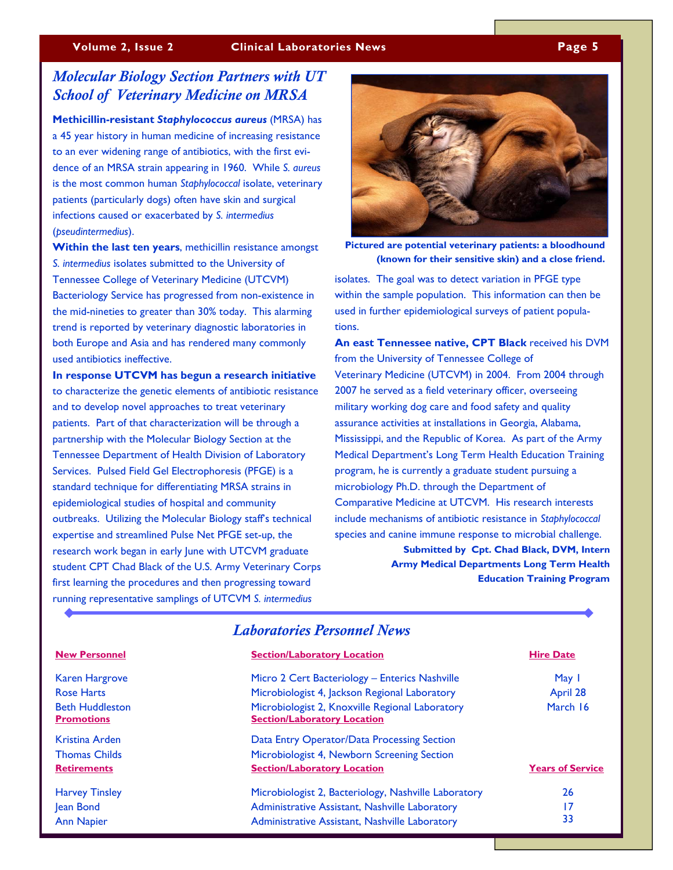#### *Molecular Biology Section Partners with UT School of Veterinary Medicine on MRSA*

**Methicillin-resistant** *Staphylococcus aureus* (MRSA) has a 45 year history in human medicine of increasing resistance to an ever widening range of antibiotics, with the first evidence of an MRSA strain appearing in 1960. While *S. aureus* is the most common human *Staphylococcal* isolate, veterinary patients (particularly dogs) often have skin and surgical infections caused or exacerbated by *S. intermedius* (*pseudintermedius*).

**Within the last ten years**, methicillin resistance amongst *S. intermedius* isolates submitted to the University of Tennessee College of Veterinary Medicine (UTCVM) Bacteriology Service has progressed from non-existence in the mid-nineties to greater than 30% today. This alarming trend is reported by veterinary diagnostic laboratories in both Europe and Asia and has rendered many commonly used antibiotics ineffective.

**In response UTCVM has begun a research initiative**  to characterize the genetic elements of antibiotic resistance and to develop novel approaches to treat veterinary patients. Part of that characterization will be through a partnership with the Molecular Biology Section at the Tennessee Department of Health Division of Laboratory Services. Pulsed Field Gel Electrophoresis (PFGE) is a standard technique for differentiating MRSA strains in epidemiological studies of hospital and community outbreaks. Utilizing the Molecular Biology staff's technical expertise and streamlined Pulse Net PFGE set-up, the research work began in early June with UTCVM graduate student CPT Chad Black of the U.S. Army Veterinary Corps first learning the procedures and then progressing toward running representative samplings of UTCVM *S. intermedius*



**Pictured are potential veterinary patients: a bloodhound (known for their sensitive skin) and a close friend.** 

isolates. The goal was to detect variation in PFGE type within the sample population. This information can then be used in further epidemiological surveys of patient populations.

**An east Tennessee native, CPT Black** received his DVM from the University of Tennessee College of Veterinary Medicine (UTCVM) in 2004. From 2004 through 2007 he served as a field veterinary officer, overseeing military working dog care and food safety and quality assurance activities at installations in Georgia, Alabama, Mississippi, and the Republic of Korea. As part of the Army Medical Department's Long Term Health Education Training program, he is currently a graduate student pursuing a microbiology Ph.D. through the Department of Comparative Medicine at UTCVM. His research interests include mechanisms of antibiotic resistance in *Staphylococcal* species and canine immune response to microbial challenge.

> **Submitted by Cpt. Chad Black, DVM, Intern Army Medical Departments Long Term Health Education Training Program**

| <b>Laboratories Personnel News</b>          |                                                                                       |                         |  |
|---------------------------------------------|---------------------------------------------------------------------------------------|-------------------------|--|
| <b>New Personnel</b>                        | <b>Section/Laboratory Location</b>                                                    | <b>Hire Date</b>        |  |
| <b>Karen Hargrove</b>                       | Micro 2 Cert Bacteriology - Enterics Nashville                                        | May 1                   |  |
| <b>Rose Harts</b>                           | Microbiologist 4, Jackson Regional Laboratory                                         | April 28                |  |
| <b>Beth Huddleston</b><br><b>Promotions</b> | Microbiologist 2, Knoxville Regional Laboratory<br><b>Section/Laboratory Location</b> | March 16                |  |
| Kristina Arden                              | Data Entry Operator/Data Processing Section                                           |                         |  |
| <b>Thomas Childs</b>                        | Microbiologist 4, Newborn Screening Section                                           |                         |  |
| <b>Retirements</b>                          | <b>Section/Laboratory Location</b>                                                    | <b>Years of Service</b> |  |
| <b>Harvey Tinsley</b>                       | Microbiologist 2, Bacteriology, Nashville Laboratory                                  | 26                      |  |
| Jean Bond                                   | Administrative Assistant, Nashville Laboratory                                        | 17                      |  |
| <b>Ann Napier</b>                           | Administrative Assistant, Nashville Laboratory                                        | 33                      |  |

#### *Laboratories Personnel News*